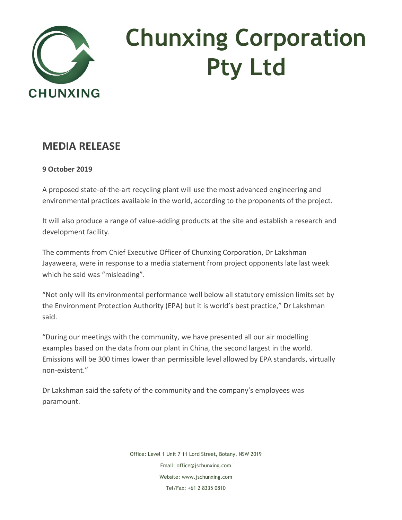

## **Chunxing Corporation Pty Ltd**

## **MEDIA RELEASE**

## **9 October 2019**

A proposed state-of-the-art recycling plant will use the most advanced engineering and environmental practices available in the world, according to the proponents of the project.

It will also produce a range of value-adding products at the site and establish a research and development facility.

The comments from Chief Executive Officer of Chunxing Corporation, Dr Lakshman Jayaweera, were in response to a media statement from project opponents late last week which he said was "misleading".

"Not only will its environmental performance well below all statutory emission limits set by the Environment Protection Authority (EPA) but it is world's best practice," Dr Lakshman said.

"During our meetings with the community, we have presented all our air modelling examples based on the data from our plant in China, the second largest in the world. Emissions will be 300 times lower than permissible level allowed by EPA standards, virtually non-existent."

Dr Lakshman said the safety of the community and the company's employees was paramount.

> Office: Level 1 Unit 7 11 Lord Street, Botany, NSW 2019 Email: office@jschunxing.com Website: [www.jschunxing.com](http://www.jschunxing.com/) Tel/Fax: +61 2 8335 0810